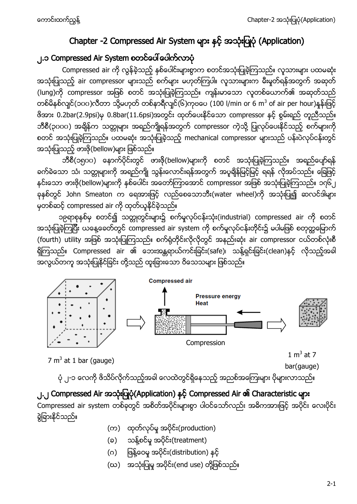# Chapter -2 Compressed Air System များ နှင့် အသုံးပြုပုံ (Application)

# ၂.၁ Compressed Air System

Compressed air ကို လွန်ခဲ့သည့် နှစ်ပေါင်းများစွာက စတင်အသုံးပြုခဲ့ကြသည်။ လူသားများ ပထမဆုံး အသုံးပြုသည့် air compressor များသည် စက်များ မဟုတ်ကြပါ။ လူသားများက မီးမှုတ်ရန်အတွက် အဆုတ် (lung)ကို compressor အဖြစ် စတင် အသုံးပြုခဲ့ကြသည်။ ကျန်းမာသော လူတစ်ယောက်၏ အဆုတ်သည် တစ်မိနစ်လျင်(၁၀၀)လီတာ သို့မဟုတ် တစ်နာရီလျင်(၆)ကုဗပေ (100 l/min or 6 m<sup>3</sup> of air per hour)န ဗိအား 0.2bar(2.9psi)မှ 0.8bar(11.6psi)အတွင်း ထုတ်ပေးနိုင်သော compressor နှင့် စွမ်းရည် တူညီသည်။ ဘီစီ(၃၀၀၀) အရိန်က သတ္တုများ အရည်ကျိုရန်အတွက် compressor ကဲ့သို့ ပြုလုပ်ပေးနိုင်သည့် စက်များကို စတင် အသုံးပြုခဲ့ကြသည်။ ပထမဆုံး အသုံးပြုခဲ့သည့် mechanical compressor များသည် ပန်းပဲလုပ်ငန်းတွင် အသုံးပြုသည့် ဖားဖို(bellow)များ ဖြစ်သည်။

ဘီစီ(၁ရုပပ) နောက်ပိုင်းတွင် ဖားဖို(bellow)များကို စတင် အသုံးပြုခဲ့ကြသည်။ အရည်ပျော်ရန် ခက်ခဲသော သံ၊ သတ္တုများကို အရည်ကျို သွန်းလောင်းရန်အတွက် အပူချိန်မြင့်မြင့် ရရန် လိုအပ်သည်။ ခြေဖြင့် နင်းသော ဖားဗို(bellow)များကို နှစ်ပေါင်း အတော်ကြာအောင် compressor အဖြစ် အသုံးပြုခဲ့ကြသည်။ ၁၇၆၂ ခုနစ်တွင် John Smeaton က ရေအားဖြင့် လည်စေသောဘီး(water wheel)ကို အသုံးပြု၍ ဆလင်ဒါများ မှတစ်ဆင့် compressed air ကို ထုတ်ယူနိုင်ခဲ့သည်။

၁၉ရာစုနှစ်မှ စတင်၍ သတ္တုတွင်းများ၌ စက်မှုလုပ်ငန်းသုံး(industrial) compressed air ကို စတင် အသုံးပြုခဲ့ကြပြီး ယနေ့ခေတ်တွင် compressed air system ကို စက်မှုလုပ်ငန်းတိုင်း၌ မပါမဖြစ် စတုတ္တမြောက် (fourth) utility အဖြစ် အသုံးပြုကြသည်။ စက်ရုံတိုင်းလိုလိုတွင် အနည်းဆုံး air compressor ငယ်တစ်လုံးစီ ရှိကြသည်။ Compressed air ၏ ဘေးအန္တရာယ်ကင်းခြင်း(safe)၊ သန့်ရှင်းခြင်း(clean)နှင့် လိုသည့်အခါ အလွယ်တကူ အသုံးပြုနိုင်ခြင်း တို့သည် ထူးခြားသော ဝိသေသများ ဖြစ်သည်။



 $7 \text{ m}^3$  at 1 bar (gauge)

 $1 m<sup>3</sup>$  at 7

bar(gauge)

ပုံ ၂-၁ လေကို ဖိသိပ်လိုက်သည့်အခါ လေထဲတွင်ရှိနေသည့် အညစ်အကြေးများ ပိုများလာသည်။

# ၂.၂ Compressed Air အသုံးပြုပုံ (Application) နှင့် Compressed Air ၏ Characteristic များ Compressed air system တစ်ခုတွင် အစိတ်အပိုင်းများစွာ ပါဝင်သော်လည်း အဓိကအားဖြင့် အပိုင်း လေးပိုင်း <u>ရဲ့</u>ရြားနိုင်သည်။

- (က) ထုတ်လုပ်မှု အပိုင်း(production)
- (ခ) သန့်စင်မှု အပိုင်း(treatment)
- (ဂ) ဖြန့်ဝေမှု အပိုင်း(distribution) နင့်
- (ဃ) အသုံးပြုမှု အပိုင်း(end use) တို့ဖြစ်သည်။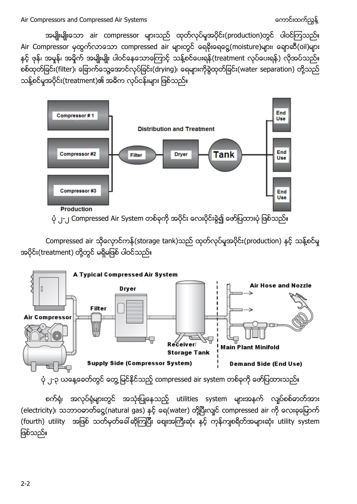အမျိုးမျိုးသော air compressor များသည် ထုတ်လုပ်မှုအပိုင်း(production)တွင် ပါဝင်ကြသည်။ Air Compressor မှထွက်လာသော compressed air များတွင် ရေနိးရေငွေ့(moisture)များ၊ ချောဆီ(oil)များ နှင့် ဖုန်၊ အမှုန်၊ အမှိုက် အမျိုးမျိုး ပါဝင်နေသောကြောင့် သန့်စင်ပေးရန်(treatment လုပ်ပေးရန်) လိုအပ်သည်။ စစ်ထုတ်ခြင်း(filter)၊ ခြောက်သွေ့အောင်လုပ်ခြင်း(drying)၊ ရေများကိုစွဲထုတ်ခြင်း(water separation) တို့သည် သန့်စင်မှုအပိုင်း(treatment)၏ အဓိက လုပ်ငန်းများ ဖြစ်သည်။



ပုံ ၂-၂ Compressed Air System တစ်ခုကို အပိုင်း လေးပိုင်းခွဲ၍ ဖော်ပြထားပုံ ဖြစ်သည်။

Compressed air သိုလှောင်ကန်(storage tank)သည် ထုတ်လုပ်မှုအပိုင်း(production) နှင့် သန့်စင်မှု အပိုင်း(treatment) တို့တွင် မရှိမဖြစ် ပါဝင်သည်။



ပုံ ၂-၃ ယနေ့ခေတ်တွင် တွေ့ မြင်နိုင်သည့် compressed air system တစ်ခုကို ဖော်ပြထားသည်။

စက်ရုံ၊ အလုပ်ရုံများတွင် အသုံးပြုနေသည့် utilities system များအနက် လျပ်စစ်ဓာတ်အား (electricity)၊ သဘာဝဓာတ်ငွေ့(natural gas) နင့် ရေ(water) တို့ပြီးလျင် compressed air ကို လေးခုမြောက် (fourth) utility အဖြစ် သတ်မှတ်ခေါ်ဆိုကြပြီး ဈေးအကြီးဆုံး နှင့် ကုန်ကျစရိတ်အများဆုံး utility system ဖြစ်သည်။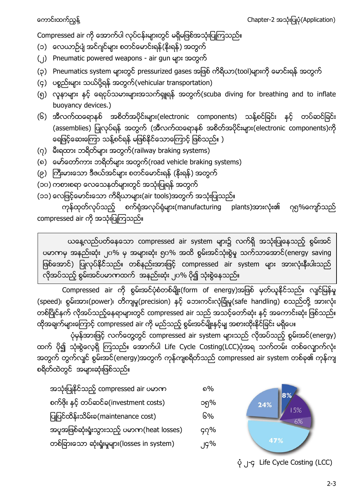Compressed air ကို အောက်ပါ လုပ်ငန်းများတွင် မရှိမဖြစ်အသုံးပြုကြသည်။

- (၁) လေယာဉ်ပျံ အင်ဂျင်များ စတင်မောင်းရန်(နိုးရန်) အတွက်
- (၂) Pneumatic powered weapons air gun များ အတွက်
- (၃) Pneumatics system များတွင် pressurized gases အဖြစ် ကိရိယာ(tool)များကို မောင်းရန် အတွက်
- (၄) ပစ္စည်းများ သယ်ပို့ရန် အတွက်(vehicular transportation)
- (၅) လူနာများ နင့် ရေငုပ်သမားများအသက်ရှူရန် အတွက်(scuba diving for breathing and to inflate buoyancy devices.)
- (၆) အီလက်ထရောနစ် အစိတ်အပိုင်းများ(electronic components) သန့်စင်ခြင်း နှင့် တပ်ဆင်ခြင်း (assemblies) ပြုလုပ်ရန် အတွက် (အီလက်ထရောနစ် အစိတ်အပိုင်းများ(electronic components)ကို ရေဖြင့်ဆေးကြော သန့်စင်ရန် မဖြစ်နိုင်သောကြောင့် ဖြစ်သည်။ )
- $(0)$  မီးရထား ဘရိတ်များ အတွက်(railway braking systems)
- (၈) မော်တော်ကား ဘရိတ်များ အတွက်(road vehicle braking systems)
- (၉) ကြီးမားသော ဒီဇယ်အင်များ စတင်မောင်းရန် (နိုးရန်) အတွက်
- (၁၀) ကစားစရာ လေသေနတ်များတွင် အသုံးပြုရန် အတွက်
- (၁၁) လေဖြင့်မောင်းသော ကိရိယာများ(air tools)အတွက် အသုံးပြုသည်။

ကုန်ထုတ်လုပ်သည့် စက်ရုံအလုပ်ရုံများ(manufacturing plants)အားလုံး၏ ဂုရု%ကျော်သည် compressed air ကို အသုံးပြုကြသည်။

ယနေ့လည်ပတ်နေသော compressed air system များ၌ လက်ရှိ အသုံးပြုနေသည့် စွမ်းအင် ပမာဏမှ အနည်းဆုံး ၂၀% မှ အများဆုံး ရုပ% အထိ စွမ်းအင်သုံးစွဲမှု သက်သာအောင်(energy saving ဖြစ်အောင်) ပြုလုပ်နိုင်သည်။ တစ်နည်းအားဖြင့် compressed air system များ အားလုံးနီးပါးသည် လိုအပ်သည့် စွမ်းအင်ပမာကထက် အနည်းဆုံး ၂၀% ပို၍ သုံးစွဲနေသည်။

Compressed air ကို စွမ်းအင်ပုံစံတစ်မျိုး(form of energy)အဖြစ် မှတ်ယူနိုင်သည်။ လျင်မြန်မှု (speed)၊ စွမ်းအား(power)၊ တိကျမှု(precision) နင့် ဘေးကင်းလုံခြုံမှု(safe handling) စသည်တို့ အားလုံး တစ်ပြိုင်နက် လိုအပ်သည့်နေရာများတွင် compressed air သည် အသင့်တော်ဆုံး နှင့် အကောင်းဆုံး ဖြစ်သည်။ ထိုအချက်များကြောင့် compressed air ကို မည်သည့် စွမ်းအင်မျိုးနှင့်မျှ အစားထိုးနိုင်ခြင်း မရှိပေ။

ပုံမှန်အားဖြင့် လက်တွေ့တွင် compressed air system များသည် လိုအပ်သည့် စွမ်းအင်(energy) ထက် ပို၍ သုံးစွဲလေ့ရှိ ကြသည်။ အောက်ပါ Life Cycle Costing(LCC)ပုံအရ သက်တမ်း တစ်လျောက်လုံး အတွက် တွက်လျင် စွမ်းအင်(energy)အတွက် ကုန်ကျစရိတ်သည် compressed air system တစ်ခု၏ ကုန်ကျ စရိတ်ထဲတွင် အများဆုံးဖြစ်သည်။

| အသုံးပြုနိုင်သည့် compressed air ပမာဏ         | %       |
|-----------------------------------------------|---------|
| စက်ဖိုး နှင့် တပ်ဆင်ခ(investment costs)       | ၁၅%     |
| ပြုပြင်ထိန်းသိမ်းခ(maintenance cost)          | ၆%      |
| အပူအဖြစ်ဆုံးရှုံးသွားသည့် ပမာဏ(heat losses)   | $9\%$   |
| တစ်ခြားသော ဆုံးရှုံးမှုများ(losses in system) | $.19\%$ |



၂-၄ Life Cycle Costing (LCC)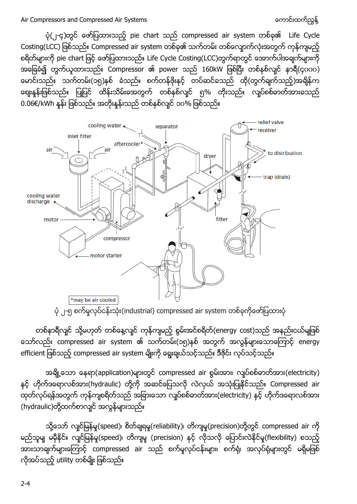$\dot{\varphi}$ (၂-၄)တွင် ဖော်ပြထားသည့် pie chart သည် compressed air system တစ်ခု၏ Life Cycle Costing(LCC) ဖြစ်သည်။ Compressed air system တစ်ခု၏ သက်တမ်း တစ်လျောက်လုံးအတွက် ကုန်ကျမည့် စရိတ်များကို pie chart ဖြင့် ဖော်ပြထားသည်။ Life Cycle Costing(LCC)တွက်ရာတွင် အောက်ပါအချက်များကို အခြေခံ၍ တွက်ယူထားသည်။ Compressor ၏ power သည် 160kW ဖြစ်ပြီး တစ်နှစ်လျင် နာရီ(၄၀၀၀) မောင်းသည်။ သက်တမ်း(၁၅)နှစ် ခံသည်။ စက်တန်ဖိုးနှင့် တပ်ဆင်ခသည် ထို(တွက်ချက်သည့်)အချိန်က .<br>စျေးနူန်းဖြစ်သည်။ ပြုပြင် ထိန်းသိမ်းခအတွက် တစ်နှစ်လျင် ၅% တိုးသည်။ လျပ်စစ်ဓာတ်အားခသည်  $0.06\varepsilon$ /kWh နူန်း ဖြစ်သည်။ အတိုးနူန်းသည် တစ်နှစ်လျင် ၁၀% ဖြစ်သည်။



ပုံ ၂-၅ စက်မှုလုပ်ငန်းသုံး(industrial) compressed air system တစ်ခုကိုဖော်ပြထားပုံ

တစ်နာရီလျင် သို့မဟုတ် တစ်နေ့လျင် ကုန်ကျမည့် စွမ်းအင်စရိတ်(energy cost)သည် အနည်းငယ်မျဖြစ် သော်လည်း compressed air system ၏ သက်တမ်း(၁၅)နစ် အတွက် အလွန်များသောကြောင့် energy efficient ဖြစ်သည့် compressed air system မျိုးကို ရွေးချယ်သင့်သည်။ ဒီဇိုင်း လုပ်သင့်သည်။

အချို့သော နေရာ(application)များတွင် compressed air စွမ်းအား၊ လျပ်စစ်ဓာတ်အား(electricity) နှင့် ဟိုက်ဒရောလစ်အား(hydraulic) တို့ကို အဆင်ပြေသလို လဲလှယ် အသုံးပြုနိုင်သည်။ Compressed air ထုတ်လုပ်ရန်အတွက် ကုန်ကျစရိတ်သည် အခြားသော လျပ်စစ်ဓာတ်အား(electricity) နင့် ဟိုက်ဒရောလစ်အား (hydraulic)တို့ထက်စာလျင် အလွန်များသည်။

သို့သော် လျင်မြန်မှု(speed)၊ စိတ်ချရမှု(reliability)၊ တိကျမှု(precision)တို့တွင် compressed air ကို မည်သူမျ မမှီနိုင်။ လျင်မြန်မှု(speed)၊ တိကျမှု (precision) နှင့် လိုသလို ပြောင်းလဲနိုင်မှု(flexibility) စသည့် အားသာချက်များကြောင့် compressed air သည် စက်မှုလုပ်ငန်းများ၊ စက်ရုံ၊ အလုပ်ရုံများတွင် မရှိမဖြစ် လိုအပ်သည့် utility တစ်မျိုး ဖြစ်သည်။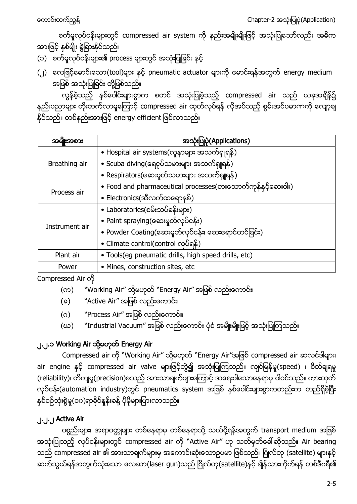စက်မှုလုပ်ငန်းများတွင် compressed air system ကို နည်းအမျိုးမျိုးဖြင့် အသုံးပြုသော်လည်း အဓိက အားဖြင့် နှစ်မျိုး ခွဲခြားနိုင်သည်။

- (၁) စက်မှုလုပ်ငန်းများ၏ process များတွင် အသုံးပြုခြင်း နှင့်
- (၂) လေဖြင့်မောင်းသော(tool)များ နှင့် pneumatic actuator များကို မောင်းရန်အတွက် energy medium .<br>အဖြစ် အသုံးပြုခြင်း တို့ဖြစ်သည်။

လွန်ခဲ့သည့် နှစ်ပေါင်းများစွာက စတင် အသုံးပြုခဲ့သည့် compressed air သည် ယခုအချိန်၌ နည်းပညာများ တိုးတက်လာမှုကြောင့် compressed air ထုတ်လုပ်ရန် လိုအပ်သည့် စွမ်းအင်ပမာဏကို လျော့ချ နိုင်သည်။ တစ်နည်းအားဖြင့် energy efficient ဖြစ်လာသည်။

| အမျိုးအစား     | အသုံးပြုပုံ (Applications)                                   |  |  |  |
|----------------|--------------------------------------------------------------|--|--|--|
|                | • Hospital air systems(လူနာများ အသက်ရှူရန်)                  |  |  |  |
| Breathing air  | • Scuba diving(ရေငုပ်သမားများ အသက်ရှူရန်)                    |  |  |  |
|                | • Respirators(ဆေးမှုတ်သမားများ အသက်ရျုရန်)                   |  |  |  |
| Process air    | • Food and pharmaceutical processes(စားသောက်ကုန်နှင့်ဆေးဝါး) |  |  |  |
|                | • Electronics(အီလက်ထရောနစ်)                                  |  |  |  |
|                | • Laboratories(စမ်းသပ်ခန်းများ)                              |  |  |  |
| Instrument air | • Paint spraying(ဆေးမှတ်လုပ်ငန်း)                            |  |  |  |
|                | • Powder Coating(ဆေးမှုတ်လုပ်ငန်း၊ ဆေးရောင်တင်ခြင်း)         |  |  |  |
|                | • Climate control(control လုပ်ရန်)                           |  |  |  |
| Plant air      | · Tools(eg pneumatic drills, high speed drills, etc)         |  |  |  |
| Power          | · Mines, construction sites, etc                             |  |  |  |

Compressed Air

- (က) "Working Air" သို့မဟုတ် "Energy Air" အဖြစ် လည်းကောင်း၊
- (ခ) "Active Air" အဖြစ် လည်းကောင်း၊
- (ဂ) <sup>"</sup>Process Air" အဖြစ် လည်းကောင်း၊
- (ဃ) "Industrial Vacuum" အဖြစ် လည်းကောင်း ပုံစံ အမျိုးမျိုးဖြင့် အသုံးပြုကြသည်။

# ၂.၂.၁ Working Air သို့မဟုတ် Energy Air

Compressed air ကို "Working Air" သို့မဟုတ် "Energy Air"အဖြစ် compressed air ဆလင်ဒါများ၊ air engine နှင့် compressed air valve များဖြင့်တွဲ၍ အသုံးပြုကြသည်။ လျင်မြန်မှု(speed) ၊ စိတ်ချရမှု (reliability)၊ တိကျမှု(precision)စသည့် အားသာချက်များကြောင့် အရေးပါသောနေရာမှ ပါဝင်သည်။ ကားထုတ် လုပ်ငန်း(automation industry)တွင် pneumatics system အဖြစ် နစ်ပေါင်းများစွာကတည်းက တည်ရှိခဲ့ပြီး နှစ်စဉ်သုံးစွဲမှု(၁၀)ရာခိုင်နူန်းခန့် ပိုမိုများပြားလာသည်။

# ၂.၂.၂ Active Air

ပစ္စည်းများ၊ အရာဝတ္တုများ တစ်နေရာမှ တစ်နေရာသို့ သယ်ပို့ရန်အတွက် transport medium အဖြစ် အသုံးပြုသည့် လုပ်ငန်းများတွင် compressed air ကို "Active Air" ဟု သတိမှတ်ခေါ် ဆိုသည်။ Air bearing သည် compressed air ၏ အားသာချက်များမှ အကောင်းဆုံးသောဉပမာ ဖြစ်သည်။ ဂြိုလ်တု (satellite) များနှင့် ဆက်သွယ်ရန်အတွက်သုံးသော လေဆာ(laser gun)သည် ဂြိုလ်တု(satellite)နှင့် ချိန်သားကိုက်ရန် တစ်ဒီဂရီ၏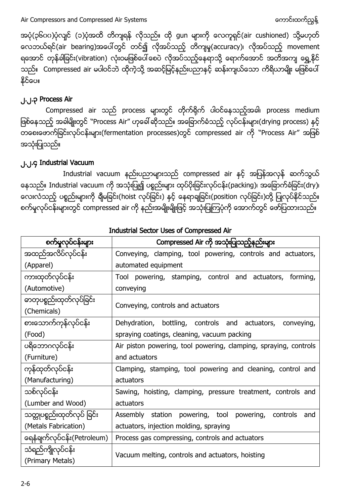အပုံ(၃၆၀၀)ပုံလျင် (၁)ပုံအထိ တိကျရန် လိုသည်။ ထို gun များကို လေကူရှင်(air cushioned) သို့မဟုတ် လေဘယ်ရင်(air bearing)အပေါ်တွင် တင်၍ လိုအပ်သည့် တိကျမှု(accuracy)၊ လိုအပ်သည့် movement ရအောင် တုန်ခါခြင်း(vibration) လုံးဝမဖြစ်ပေါ် စေပဲ လိုအပ်သည့်နေရာသို့ ရောက်အောင် အတိအကျ ရွှေ့နိုင် သည်။ Compressed air မပါဝင်ဘဲ ထိုကဲ့သို့ အဆင့်မြင့်နည်းပညာနှင့် ဆန်းကျယ်သော ကိရိယာမျိုး မဖြစ်ပေါ် နိုင်ပေ။

### ၂.၂.၃ Process Air

Compressed air သည် process များတွင် တိုက်ရိုက် ပါဝင်နေသည့်အခါ၊ process medium ဖြစ်နေသည့် အခါမျိုးတွင် ``Process Air" ဟုခေါ် ဆိုသည်။ အခြောက်ခံသည့် လုပ်ငန်းများ(drying process) နှင့် တြီး ကြောင်းလုပ်ငန်းများ(fermentation processes)တွင် compressed air ကို "Process Air" အဖြစ် အသုံးပြုသည်။

### ၂.၂.၄ Industrial Vacuum

Industrial vacuum နည်းပညာများသည် compressed air နှင့် အပြန်အလှန် ဆက်သွယ် နေသည်။ Industrial vacuum ကို အသုံးပြု၍ ပစ္စည်းများ ထုပ်ပိုးခြင်းလုပ်ငန်း(packing)၊ အခြောက်ခံခြင်း(dry)၊ လေးလံသည့် ပစ္စည်းများကို ချီမခြင်း(hoist လုပ်ခြင်း) နှင့် နေရာချခြင်း(position လုပ်ခြင်း)တို့ ပြုလုပ်နိုင်သည်။ စက်မှုလုပ်ငန်းများတွင် compressed air ကို နည်းအမျိုးမျိုးဖြင့် အသုံးပြုကြပုံကို အောက်တွင် ဖော်ပြထားသည်။

| စက်မှုလုပ်ငန်းများ                      | Compressed Air ကို အသုံးပြုသည့်နည်းများ                            |  |  |  |
|-----------------------------------------|--------------------------------------------------------------------|--|--|--|
| အထည်အလိပ်လုပ်ငန်း                       | Conveying, clamping, tool powering, controls and actuators,        |  |  |  |
| (Apparel)                               | automated equipment                                                |  |  |  |
| ကားထုတ်လုပ်ငန်း                         | Tool powering, stamping, control and actuators,<br>forming,        |  |  |  |
| (Automotive)                            | conveying                                                          |  |  |  |
| ဓာတုပစ္စည်းထုတ်လုပ်ခြင်း<br>(Chemicals) | Conveying, controls and actuators                                  |  |  |  |
| စားသောက်ကုန်လုပ်ငန်း                    | Dehydration, bottling, controls and actuators,<br>conveying,       |  |  |  |
| (Food)                                  | spraying coatings, cleaning, vacuum packing                        |  |  |  |
| ပရိဘောဂလုပ်ငန်း                         | Air piston powering, tool powering, clamping, spraying, controls   |  |  |  |
| (Furniture)                             | and actuators                                                      |  |  |  |
| ကုန်ထုတ်လုပ်ငန်း                        | Clamping, stamping, tool powering and cleaning, control and        |  |  |  |
| (Manufacturing)                         | actuators                                                          |  |  |  |
| သစ်လုပ်ငန်း                             | Sawing, hoisting, clamping, pressure treatment, controls and       |  |  |  |
| (Lumber and Wood)                       | actuators                                                          |  |  |  |
| သတ္တုပစ္စည်းထုတ်လုပ် ခြင်း              | Assembly station<br>powering, tool<br>powering,<br>controls<br>and |  |  |  |
| (Metals Fabrication)                    | actuators, injection molding, spraying                             |  |  |  |
| ရေနံချက်လုပ်ငန်း(Petroleum)             | Process gas compressing, controls and actuators                    |  |  |  |
| သံရည်ကျိုလုပ်ငန်း                       | Vacuum melting, controls and actuators, hoisting                   |  |  |  |
| (Primary Metals)                        |                                                                    |  |  |  |

Industrial Sector Uses of Compressed Air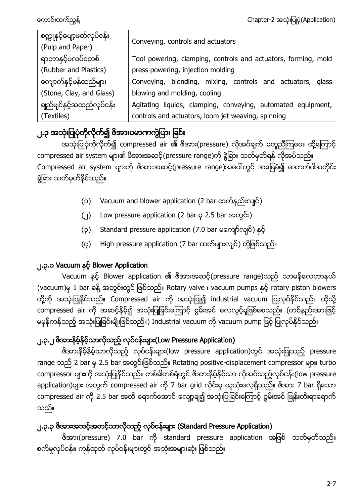| စက္ကူနင့်ပျော့ဖတ်လုပ်ငန်း<br>(Pulp and Paper) | Conveying, controls and actuators                              |
|-----------------------------------------------|----------------------------------------------------------------|
| ရာဘာနင့်ပလပ်စတစ်                              | Tool powering, clamping, controls and actuators, forming, mold |
| (Rubber and Plastics)                         | press powering, injection molding                              |
| ကျောက်နင့်ဖန်ထည်များ                          | Conveying, blending, mixing, controls and actuators, glass     |
| (Stone, Clay, and Glass)                      | blowing and molding, cooling                                   |
| ချည်မျင်နှင့်အထည်လုပ်ငန်း                     | Agitating liquids, clamping, conveying, automated equipment,   |
| (Textiles)                                    | controls and actuators, loom jet weaving, spinning             |

# ၂.၃ အသုံးပြုပုံကိုလိုက်၍ ဇိအားပမာကကွဲပြား ခြင်း

အသုံးပြုပုံကိုလိုက်၍ compressed air ၏ ဖိအား(pressure) လိုအပ်ချက် မတူညီကြပေ။ ထို့ကြောင့် compressed air system များ၏ ဖိအားအဆင့်(pressure range)ကို ခွဲခြား သတ်မှတ်ရန် လိုအပ်သည်။ Compressed air system များကို ဖိအားအဆင့်(pressure range)အပေါ်တွင် အခြေခံ၍ အောက်ပါအတိုင်း ခွဲခြား သတ်မှတ်နိုင်သည်။

- (၁) Vacuum and blower application (2 bar ထက်နည်းလျင်)
- (၂) Low pressure application (2 bar မှ 2.5 bar အတွင်း)
- (၃) Standard pressure application (7.0 bar မကျော်လျင်) နင့်
- (၄) High pressure application (7 bar ထက်များလျင်) တို့ဖြစ်သည်။

# ၂.၃.၁ Vacuum နှင့် Blower Application

Vacuum နှင့် Blower application ၏ ဖိအားအဆင့်(pressure range)သည် သာမန်လေဟာနယ် (vacuum)မှ 1 bar ခန့် အတွင်းတွင် ဖြစ်သည်။ Rotary valve ၊ vacuum pumps နှင့် rotary piston blowers တို့ကို အသုံးပြုနိုင်သည်။ Compressed air ကို အသုံးပြု၍ industrial vacuum ပြုလုပ်နိုင်သည်။ ထိုသို့ compressed air ကို အဆင့်နိမ့်၍ အသုံးပြုခြင်းကြောင့် စွမ်းအင် လေလွင့်မှုဖြစ်စေသည်။ (တစ်နည်းအားဖြင့် မမှန်ကန်သည့် အသုံးပြုခြင်းမျိုးဖြစ်သည်။) Industrial vacuum ကို vacuum pump ဖြင့် ပြုလုပ်နိုင်သည်။

# ၂.၃.၂ <sup>8</sup>အားနိမ့်နိမ့်သာလိုသည့် လုပ်ငန်းများ(Low Pressure Application)

ဖိအားနိမ့်နိမ့်သာလိုသည့် လုပ်ငန်းများ(low pressure application)တွင် အသုံးပြုသည့် pressure range သည် 2 bar မှ 2.5 bar အတွင်းဖြစ်သည်။ Rotating positive-displacement compressor များ၊ turbo compressor များကို အသုံးပြုနိုင်သည်။ တစ်ခါတစ်ရံတွင် ဖိအားနိမ့်နိမ့်သာ လိုအပ်သည့်လုပ်ငန်း(low pressure application)များ အတွက် compressed air ကို 7 bar grid လိုင်းမှ ယူသုံးလေ့ရှိသည်။ ဖိအား 7 bar ရှိသော compressed air ကို 2.5 bar အထိ ရောက်အောင် လျော့ချ၍ အသုံးပြုခြင်းကြောင့် စွမ်းအင် ဖြုန်းတီးရာရောက် သည်။

# ၂.၃.၃ <sup>8</sup>အားအသင့်အတင့်သာလိုသည့် လုပ်ငန်းများ (Standard Pressure Application)

ဗိအား(pressure) 7.0 bar ကို standard pressure application အဖြစ် သတ်မှတ်သည်။ စက်မှုလုပ်ငန်း၊ ကုန်ထုတ် လုပ်ငန်းများတွင် အသုံးအများဆုံး ဖြစ်သည်။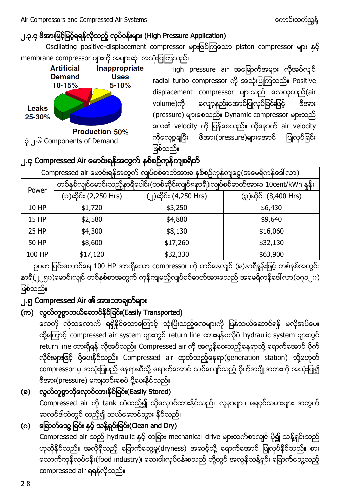# ၂.၃.၄ <sup>8</sup>အားမြင့်မြင့်ရရန်လိုသည့် လုပ်ငန်းများ (High Pressure Application)

Oscillating positive-displacement compressor များဖြစ်ကြသော piston compressor များ နှင့် membrane compressor များကို အများဆုံး အသုံးပြုကြသည်။



High pressure air အမြောက်အများ လိုအပ်လျင် radial turbo compressor ကို အသုံးပြုကြသည်။ Positive displacement compressor များသည် လေထုထည်(air လျော့နည်းအောင်ပြုလုပ်ခြင်းဖြင့် volume)ကို ဖိအား (pressure) များစေသည်။ Dynamic compressor များသည် လေ၏ velocity ကို မြန်စေသည်။ ထိုနောက် air velocity ကိုလျော့ချပြီး <sup>ဖွဲ</sup>အား(pressure)များအောင် ပြုလုပ်ခြင်း ဖြစ်သည်။ I

# ၂.၄ Compressed Air မောင်းရန်အတွက် နှစ်စဉ်ကုန်ကျစရိတ်

|                                                                               | . .                                                                                |                       |                       |  |  |  |
|-------------------------------------------------------------------------------|------------------------------------------------------------------------------------|-----------------------|-----------------------|--|--|--|
| Compressed air မောင်းရန်အတွက် လျပ်စစ်ဓာတ်အားခ နစ်စဉ်ကုန်ကျငွေ(အမေရိကန်ဒေါ်လာ) |                                                                                    |                       |                       |  |  |  |
|                                                                               | တစ်နစ်လျင်မောင်းသည့်နာရီပေါင်း(တစ်ဆိုင်းလျင်ရနာရီ)၊လျပ်စစ်ဓာတ်အားခ 10cent/kWh နန်း |                       |                       |  |  |  |
| Power                                                                         | (၁)ဆိုင်း (2,250 Hrs)                                                              | (၂)ဆိုင်း (4,250 Hrs) | (၃)ဆိုင်း (8,400 Hrs) |  |  |  |
| 10 HP                                                                         | \$1,720                                                                            | \$3,250               | \$6,430               |  |  |  |
| 15 HP                                                                         | \$2,580                                                                            | \$4,880               | \$9,640               |  |  |  |
| 25 HP                                                                         | \$4,300                                                                            | \$8,130               | \$16,060              |  |  |  |
| 50 HP                                                                         | \$8,600                                                                            | \$17,260              | \$32,130              |  |  |  |
| 100 HP                                                                        | \$17,120                                                                           | \$32,330              | \$63,900              |  |  |  |
|                                                                               |                                                                                    |                       |                       |  |  |  |

ဉပမာ မြင်းကောင်ရေ 100 HP အားရှိသော compressor ကို တစ်နေ့လျင် (၈)နာရီနူန်းဖြင့် တစ်နစ်အတွင်း နာရီ(၂၂၅၀)ဟေင်းလျင် တစ်နှစ်စာအတွက် ကုန်ကျမည့်လျပ်စစ်ဓာတ်အားခသည် အမေရိကန်ဒေါ် လာ(၁၇၁၂၀) ဖြစ်သည်။

# ၂.၅ Compressed Air အဲ၊ အားသာချက်များ

# (က) လွယ်ကူစွာသယ်ဆောင်နိုင်ခြင်း(Easily Transported)

လေကို လိုသလောက် ရရှိနိုင်သောကြောင့် သုံးပြီးသည့်လေများကို ပြန်သယ်ဆောင်ရန် မလိုအပ်ပေ။ ထို့ကြောင့် compressed air system များတွင် return line ထားရန်မလိုပဲ hydraulic system များတွင် return line ထားရှိရန် လိုအပ်သည်။ Compressed air ကို အလွန်ဝေးသည့်နေရာသို့ ရောက်အောင် ပိုက် လိုင်းများဖြင့် ပို့ပေးနိုင်သည်။ Compressed air ထုတ်သည့်နေရာ(generation station) သို့မဟုတ် compressor မှ အသုံးပြုမည့် နေရာဆီသို့ ရောက်အောင် သင့်လျော်သည့် ပိုက်အမျိုးအစားကို အသုံးပြု၍ ဖိအား(pressure) မကျဆင်းစေပဲ ပို့ပေးနိုင်သည်။

(ခ) လွယ်ကူစွာသိုလှောင်ထားနိုင်ခြင်း(Easily Stored) င်စကား<br>Compressed air ကို tank ထဲထည့်၍ သိုလှောင်ထားနိုင်သည်။ လူနာများ၊ ရေငုပ်သမားများ အတွက် ဆလင်ဒါထဲတွင် ထည့်၍ သယ်ဆောင်သွား နိုင်သည်။

# (ဂ) မြောက်သွေ့ ခြင်း နှင့် သန့်ရှင်းခြင်း(Clean and Dry)

Compressed air သည် hydraulic နှင့် တခြား mechanical drive များထက်စာလျင် ပို၍ သန့်ရှင်းသည် ဟုဆိုနိုင်သည်။ အလိုရှိသည့် ခြောက်သွေ့မှု(dryness) အဆင့်သို့ ရောက်အောင် ပြုလုပ်နိုင်သည်။ စား သောက်ကုန်လုပ်ငန်း(food industry)၊ ဆေးဝါးလုပ်ငန်းစသည် တို့တွင် အလွန်သန့်ရှင်း ခြောက်သွေ့သည့် compressed air ရရန်လိုသည်။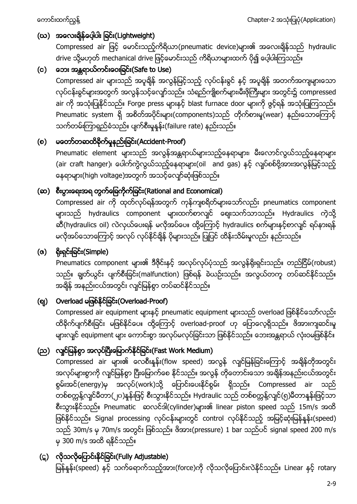# (ဃ) အလေးရှိန်ပေ့ါပါး ခြင်း(Lightweight)

Compressed air ဖြင့် မောင်းသည့်ကိရိယာ(pneumatic device)များ၏ အလေးချိန်သည် hydraulic drive သို့မဟုတ် mechanical drive ဖြင့်မောင်းသည် ကိရိယာများထက် ပို၍ ပေ့ါပါးကြသည်။

## (c) တေး အန္တရာယ်ကင်းဝေးခြင်း(Safe to Use)

Compressed air များသည် အပူရှိန် အလွန်မြင့်သည့် လုပ်ငန်းစွင် နှင့် အပူရှိန် အတက်အကျများသော လုပ်ငန်းခွင်များအတွက် အလွန်သင့်လျော်သည်။ သံရည်ကျိုစက်များ၊မီးဖိုကြီးများ အတွင်း၌ compressed air ကို အသုံးပြုနိုင်သည်။ Forge press များနှင့် blast furnace door များကို ဖွင့်ရန် အသုံးပြုကြသည်။ Pneumatic system ရှိ အစိတ်အပိုင်းများ(components)သည် တိုက်စားမှု(wear) နည်းသောကြောင့် သက်တမ်းကြာရှည်ခံသည်။ ပျက်စီးမှုနန်း(failure rate) နည်းသည်။

### (စ) မတော်တဆထိခိုက်မှုနည်းခြင်း(Accident-Proof)

Pneumatic element များသည် အလွန်အန္တရာယ်များသည့်နေရာများ၊ မီးလောင်လွယ်သည့်နေရာများ (air craft hanger)၊ ပေါက်ကွဲလွယ်သည့်နေရာများ(oil and gas) နှင့် လျှပ်စစ်ဗို့အားအလွန်မြင့်သည့် နေရာများ(high voltage)အတွက် အသင့်လျော်ဆုံးဖြစ်သည်။

## (ဆ) စီးပွားရေးအရ တွက်ရြေကိုက်ခြင်း(Rational and Economical)

Compressed air ကို ထုတ်လုပ်ရန်အတွက် ကုန်ကျစရိတ်များသော်လည်း pneumatics component များသည် hydraulics component များထက်စာလျင် ဈေးသက်သာသည်။ Hydraulics ကဲ့သို့ ဆီ(hydraulics oil) လဲလှယ်ပေးရန် မလိုအပ်ပေ။ ထို့ကြောင့် hydraulics စက်များနှင့်စာလျင် ရပ်နားရန် မလိုအပ်သောကြောင့် အလုပ် လုပ်နိုင်ချိန် ပိုများသည်။ ပြုပြင် ထိန်းသိမ်းမှုလည်း နည်းသည်။

# $( \alpha )$  ရိုးရှင်းခြင်း $($ Simple $)$

. ... —<br>Pneumatics component များ၏ ဒီဇိုင်းနှင့် အလုပ်လုပ်ပုံသည် အလွန်ရိုးရှင်းသည်။ တည်ငြိမ်(robust) သည်။ ချွတ်ယွင်း ပျက်စီးခြင်း(malfunction) ဖြစ်ရန် ခဲယဉ်းသည်။ အလွယ်တကူ တပ်ဆင်နိုင်သည်။ အရိန် အနည်းငယ်အတွင်း လျင်မြန်စွာ တပ်ဆင်နိုင်သည်။

## (ဈ) Overload မဖြစ်နိုင်ခြင်း(Overload-Proof)

Compressed air equipment များနှင့် pneumatic equipment များသည် overload ဖြစ်နိုင်သော်လည်း ထိခိုက်ပျက်စီးခြင်း မဖြစ်နိုင်ပေ။ ထို့ကြောင့် overload-proof ဟု ပြောလေ့ရှိသည်။ ဖိအားကျဆင်းမှု များလျင် equipment များ ကောင်းစွာ အလုပ်မလုပ်ခြင်းသာ ဖြစ်နိုင်သည်။ ဘေးအန္တရာယ် လုံးဝမဖြစ်နိုင်။

# (ည) လျင်မြန်စွာ အလုပ်ပြီးမြောက်နိုင်ခြင်း(Fast Work Medium) (

ာ သိုလ် သို့ သို့ သို့ သို့ သို့<br>Compressed air များ၏ လေစီးနှန်း(flow speed) အလွန် လျင်မြန်ခြင်းကြောင့် အချိန်တိုအတွင်း အလုပ်များစွာကို လျင်မြန်စွာ ပြီးမြောက်စေ နိုင်သည်။ အလွန် တိုတောင်းသော အချိန်အနည်းငယ်အတွင်း စွမ်းအင်(energy)မှ အလုပ်(work)သို့ ပြောင်းပေးနိုင်စွမ်း ရှိသည်။ Compressed air သည် တစ်စက္ကန့်လျင်မီတာ(၂၀)နှန်းဖြင့် စီးသွားနိုင်သည်။ Hydraulic သည် တစ်စက္ကန့်လျင်(၅)မီတာနှန်းဖြင့်သာ စီးသွားနိုင်သည်။ Pneumatic ဆလင်ဒါ(cylinder)များ၏ linear piston speed သည် 15m/s အထိ ဖြစ်နိုင်သည်။ Signal processing လုပ်ငန်းများတွင် control လုပ်နိုင်သည့် အမြင့်ဆုံးမြန်နှုန်း(speed) သည် 30m/s မှ 70m/s အတွင်း ဖြစ်သည်။ ဖိအား(pressure) 1 bar သည်ပင် signal speed 200 m/s မှ 300 m/s အထိ ရနိုင်သည်။

# (ဋ) လိုသလိုပြောင်းနိုင်ခြင်း(Fully Adjustable)

မြန်နှုန်း(speed) နှင့် သက်ရောက်သည့်အား(force)ကို လိုသလိုပြောင်းလဲနိုင်သည်။ Linear နှင့် rotary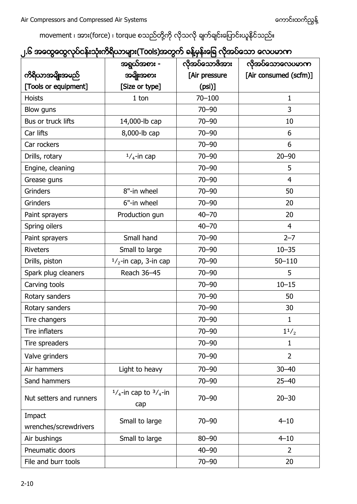movement ၊ အား(force) ၊ torque စသည်တို့ကို လိုသလို ချက်ချင်းပြောင်းယူနိုင်သည်။

|  |  |  | ၂.၆ အထွေထွေလုပ်ငန်းသုံးကိရိယာများ(Tools)အတွက် ခန့်မှန်းခြေ လိုအပ်သော လေပမာက |  |
|--|--|--|-----------------------------------------------------------------------------|--|
|  |  |  |                                                                             |  |

|                         | အရွယ်အစား -                                   | လိုအပ်သောဇိအား | လိုအပ်သောလေပမာက       |  |
|-------------------------|-----------------------------------------------|----------------|-----------------------|--|
| ကိရိယာအမျိုးအမည်        | အမျိုးအစား                                    | [Air pressure  | [Air consumed (scfm)] |  |
| [Tools or equipment]    | [Size or type]                                | $(psi)$ ]      |                       |  |
| <b>Hoists</b>           | 1 ton                                         | $70 - 100$     | 1                     |  |
| Blow guns               |                                               | $70 - 90$      | 3                     |  |
| Bus or truck lifts      | 14,000-lb cap                                 | $70 - 90$      | 10                    |  |
| Car lifts               | 8,000-lb cap                                  | $70 - 90$      | 6                     |  |
| Car rockers             |                                               | $70 - 90$      | 6                     |  |
| Drills, rotary          | $1/4$ -in cap                                 | $70 - 90$      | $20 - 90$             |  |
| Engine, cleaning        |                                               | $70 - 90$      | 5                     |  |
| Grease guns             |                                               | $70 - 90$      | 4                     |  |
| Grinders                | 8"-in wheel                                   | $70 - 90$      | 50                    |  |
| Grinders                | 6"-in wheel                                   | $70 - 90$      | 20                    |  |
| Paint sprayers          | Production gun                                | $40 - 70$      | 20                    |  |
| Spring oilers           |                                               | $40 - 70$      | $\overline{4}$        |  |
| Paint sprayers          | Small hand                                    | $70 - 90$      | $2 - 7$               |  |
| <b>Riveters</b>         | Small to large                                | $70 - 90$      | $10 - 35$             |  |
| Drills, piston          | $1/2$ -in cap, 3-in cap                       | $70 - 90$      | $50 - 110$            |  |
| Spark plug cleaners     | Reach 36-45                                   | $70 - 90$      | 5                     |  |
| Carving tools           |                                               | $70 - 90$      | $10 - 15$             |  |
| Rotary sanders          |                                               | $70 - 90$      | 50                    |  |
| Rotary sanders          |                                               | $70 - 90$      | 30                    |  |
| Tire changers           |                                               | $70 - 90$      | $\mathbf{1}$          |  |
| Tire inflaters          |                                               | $70 - 90$      | $1^{1/2}$             |  |
| Tire spreaders          |                                               | $70 - 90$      | $\mathbf{1}$          |  |
| Valve grinders          |                                               | $70 - 90$      | $\overline{2}$        |  |
| Air hammers             | Light to heavy                                | $70 - 90$      | $30 - 40$             |  |
| Sand hammers            |                                               | $70 - 90$      | $25 - 40$             |  |
| Nut setters and runners | $^{1}/_{4}$ -in cap to $^{3}/_{4}$ -in<br>cap |                | $20 - 30$             |  |
| Impact                  | Small to large                                | $70 - 90$      | $4 - 10$              |  |
| wrenches/screwdrivers   |                                               |                |                       |  |
| Air bushings            | Small to large                                | $80 - 90$      | $4 - 10$              |  |
| Pneumatic doors         |                                               | $40 - 90$      | 2                     |  |
| File and burr tools     |                                               | $70 - 90$      | 20                    |  |